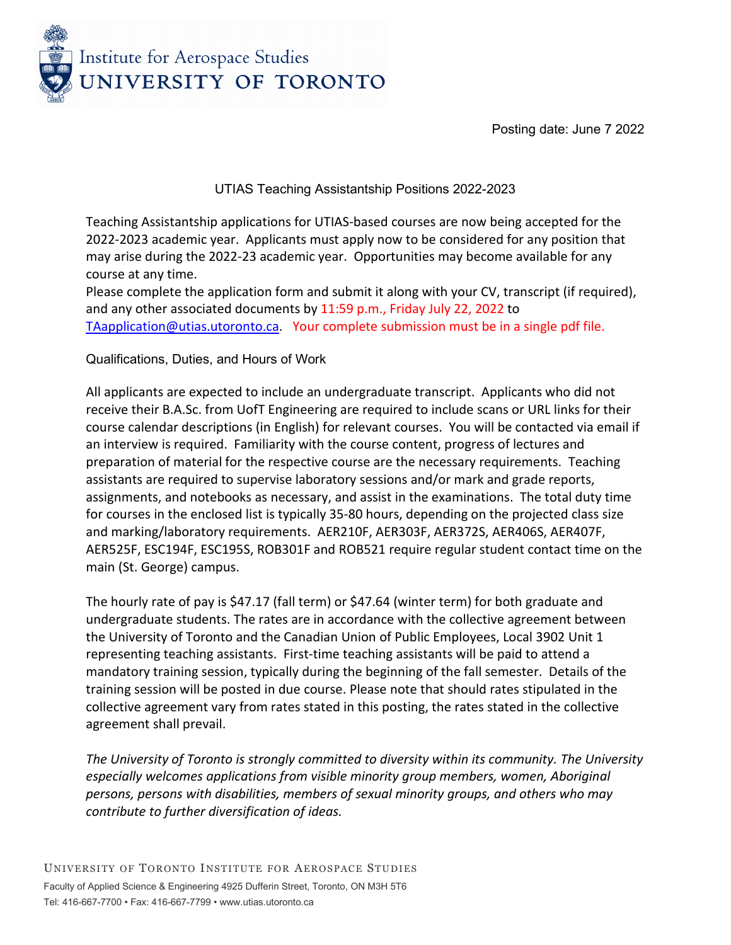

Posting date: June 7 2022

### UTIAS Teaching Assistantship Positions 2022-2023

Teaching Assistantship applications for UTIAS-based courses are now being accepted for the 2022-2023 academic year. Applicants must apply now to be considered for any position that may arise during the 2022-23 academic year. Opportunities may become available for any course at any time.

Please complete the application form and submit it along with your CV, transcript (if required), and any other associated documents by 11:59 p.m., Friday July 22, 2022 to [TAapplication@utias.utoronto.ca.](mailto:TAapplication@utias.utoronto.ca) Your complete submission must be in a single pdf file.

### Qualifications, Duties, and Hours of Work

All applicants are expected to include an undergraduate transcript. Applicants who did not receive their B.A.Sc. from UofT Engineering are required to include scans or URL links for their course calendar descriptions (in English) for relevant courses. You will be contacted via email if an interview is required. Familiarity with the course content, progress of lectures and preparation of material for the respective course are the necessary requirements. Teaching assistants are required to supervise laboratory sessions and/or mark and grade reports, assignments, and notebooks as necessary, and assist in the examinations. The total duty time for courses in the enclosed list is typically 35-80 hours, depending on the projected class size and marking/laboratory requirements. AER210F, AER303F, AER372S, AER406S, AER407F, AER525F, ESC194F, ESC195S, ROB301F and ROB521 require regular student contact time on the main (St. George) campus.

The hourly rate of pay is \$47.17 (fall term) or \$47.64 (winter term) for both graduate and undergraduate students. The rates are in accordance with the collective agreement between the University of Toronto and the Canadian Union of Public Employees, Local 3902 Unit 1 representing teaching assistants. First-time teaching assistants will be paid to attend a mandatory training session, typically during the beginning of the fall semester. Details of the training session will be posted in due course. Please note that should rates stipulated in the collective agreement vary from rates stated in this posting, the rates stated in the collective agreement shall prevail.

*The University of Toronto is strongly committed to diversity within its community. The University especially welcomes applications from visible minority group members, women, Aboriginal persons, persons with disabilities, members of sexual minority groups, and others who may contribute to further diversification of ideas.*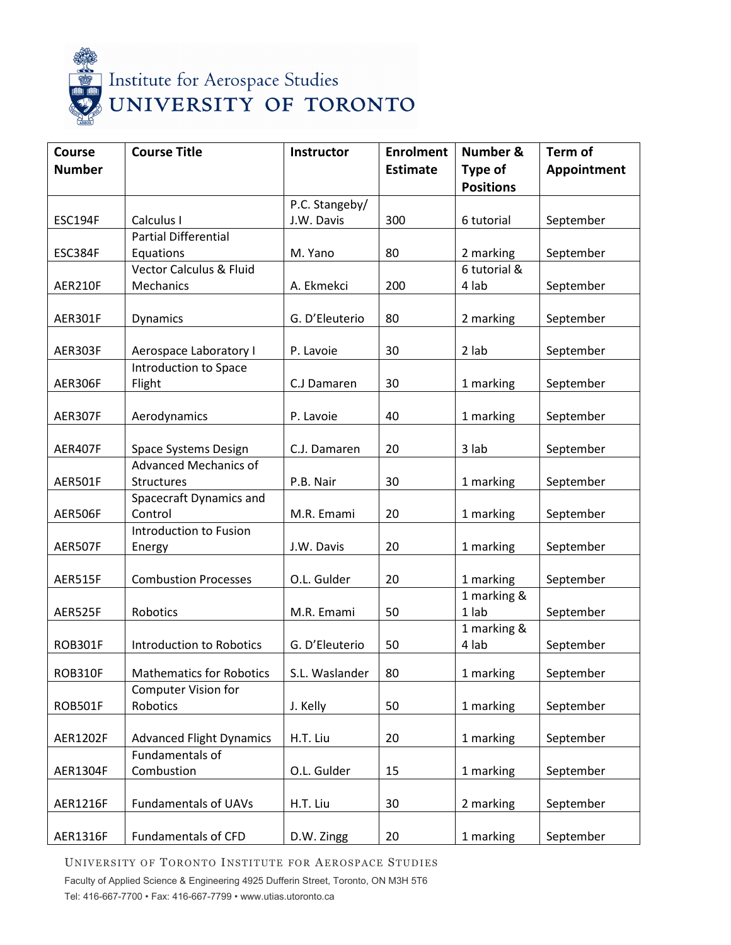

| <b>Course</b>   | <b>Course Title</b>                                    | Instructor     | <b>Enrolment</b> | Number &         | <b>Term of</b> |
|-----------------|--------------------------------------------------------|----------------|------------------|------------------|----------------|
| <b>Number</b>   |                                                        |                | <b>Estimate</b>  | Type of          | Appointment    |
|                 |                                                        |                |                  | <b>Positions</b> |                |
|                 |                                                        | P.C. Stangeby/ |                  |                  |                |
| <b>ESC194F</b>  | Calculus I                                             | J.W. Davis     | 300              | 6 tutorial       | September      |
|                 | <b>Partial Differential</b>                            |                |                  |                  |                |
| ESC384F         | Equations                                              | M. Yano        | 80               | 2 marking        | September      |
|                 | <b>Vector Calculus &amp; Fluid</b>                     |                |                  | 6 tutorial &     |                |
| AER210F         | Mechanics                                              | A. Ekmekci     | 200              | 4 lab            | September      |
|                 |                                                        |                |                  |                  |                |
| AER301F         | Dynamics                                               | G. D'Eleuterio | 80               | 2 marking        | September      |
|                 |                                                        |                |                  |                  |                |
| AER303F         | Aerospace Laboratory I                                 | P. Lavoie      | 30               | 2 lab            | September      |
|                 | Introduction to Space                                  |                |                  |                  |                |
| AER306F         | Flight                                                 | C.J Damaren    | 30               | 1 marking        | September      |
|                 |                                                        |                |                  |                  |                |
| AER307F         | Aerodynamics                                           | P. Lavoie      | 40               | 1 marking        | September      |
| AER407F         | Space Systems Design                                   | C.J. Damaren   | 20               | 3 lab            | September      |
|                 | <b>Advanced Mechanics of</b>                           |                |                  |                  |                |
| AER501F         | <b>Structures</b>                                      | P.B. Nair      | 30               | 1 marking        | September      |
|                 | Spacecraft Dynamics and                                |                |                  |                  |                |
| AER506F         | Control                                                | M.R. Emami     | 20               | 1 marking        | September      |
|                 | <b>Introduction to Fusion</b>                          |                |                  |                  |                |
| AER507F         | Energy                                                 | J.W. Davis     | 20               | 1 marking        | September      |
|                 |                                                        |                |                  |                  |                |
| AER515F         | <b>Combustion Processes</b>                            | O.L. Gulder    | 20               | 1 marking        | September      |
|                 |                                                        |                |                  | 1 marking &      |                |
| AER525F         | Robotics                                               | M.R. Emami     | 50               | 1 lab            | September      |
|                 |                                                        |                |                  | 1 marking &      |                |
| <b>ROB301F</b>  | <b>Introduction to Robotics</b>                        | G. D'Eleuterio | 50               | 4 lab            | September      |
|                 |                                                        |                |                  |                  |                |
| ROB310F         | <b>Mathematics for Robotics</b><br>Computer Vision for | S.L. Waslander | 80               | 1 marking        | September      |
| <b>ROB501F</b>  | Robotics                                               | J. Kelly       | 50               | 1 marking        | September      |
|                 |                                                        |                |                  |                  |                |
| AER1202F        | <b>Advanced Flight Dynamics</b>                        | H.T. Liu       | 20               | 1 marking        | September      |
|                 | Fundamentals of                                        |                |                  |                  |                |
| AER1304F        | Combustion                                             | O.L. Gulder    | 15               | 1 marking        | September      |
|                 |                                                        |                |                  |                  |                |
| <b>AER1216F</b> | <b>Fundamentals of UAVs</b>                            | H.T. Liu       | 30               | 2 marking        | September      |
|                 |                                                        |                |                  |                  |                |
| <b>AER1316F</b> | <b>Fundamentals of CFD</b>                             | D.W. Zingg     | 20               | 1 marking        | September      |

UNIVERSITY OF TORONTO INSTITUTE FOR AEROSPACE STUDIES

Faculty of Applied Science & Engineering 4925 Dufferin Street, Toronto, ON M3H 5T6 Tel: 416-667-7700 • Fax: 416-667-7799 • www.utias.utoronto.ca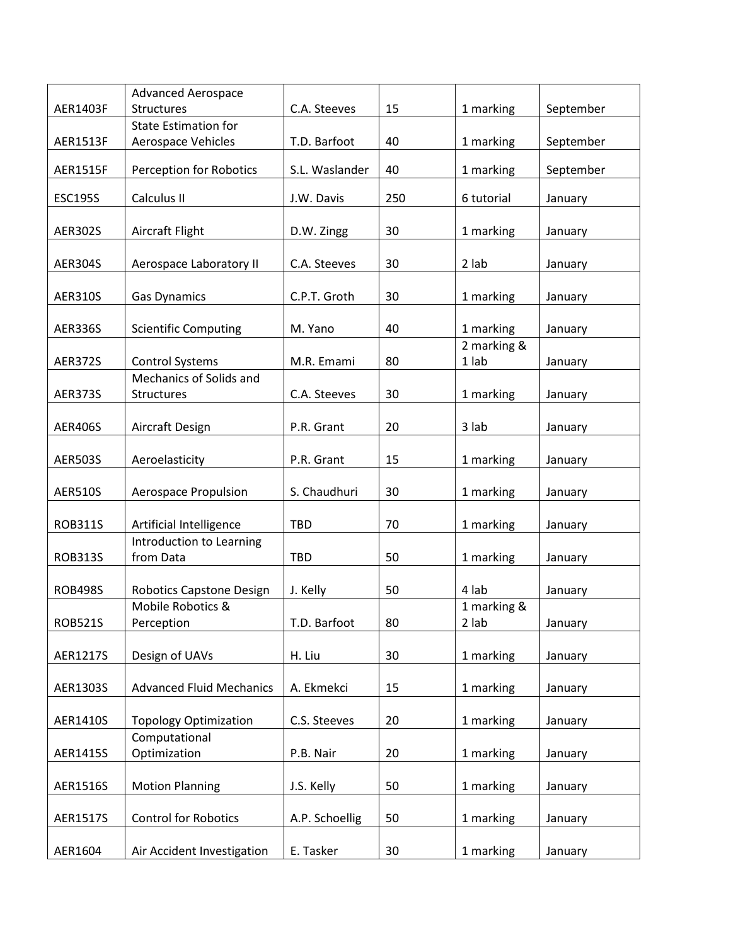|                 | <b>Advanced Aerospace</b>                  |                |     |             |           |
|-----------------|--------------------------------------------|----------------|-----|-------------|-----------|
| AER1403F        | Structures                                 | C.A. Steeves   | 15  | 1 marking   | September |
|                 | <b>State Estimation for</b>                |                |     |             |           |
| <b>AER1513F</b> | Aerospace Vehicles                         | T.D. Barfoot   | 40  | 1 marking   | September |
|                 |                                            |                |     |             |           |
| <b>AER1515F</b> | <b>Perception for Robotics</b>             | S.L. Waslander | 40  | 1 marking   | September |
|                 |                                            |                |     |             |           |
| <b>ESC195S</b>  | Calculus II                                | J.W. Davis     | 250 | 6 tutorial  | January   |
|                 |                                            |                |     |             |           |
| <b>AER302S</b>  | Aircraft Flight                            | D.W. Zingg     | 30  | 1 marking   | January   |
|                 |                                            |                |     |             |           |
| <b>AER304S</b>  | Aerospace Laboratory II                    | C.A. Steeves   | 30  | 2 lab       | January   |
|                 |                                            |                |     |             |           |
| <b>AER310S</b>  | <b>Gas Dynamics</b>                        | C.P.T. Groth   | 30  | 1 marking   | January   |
|                 |                                            |                |     |             |           |
| <b>AER336S</b>  | <b>Scientific Computing</b>                | M. Yano        | 40  | 1 marking   | January   |
|                 |                                            |                |     | 2 marking & |           |
| <b>AER372S</b>  | Control Systems<br>Mechanics of Solids and | M.R. Emami     | 80  | $1$ lab     | January   |
|                 |                                            |                |     |             |           |
| <b>AER373S</b>  | Structures                                 | C.A. Steeves   | 30  | 1 marking   | January   |
|                 |                                            |                |     |             |           |
| <b>AER406S</b>  | Aircraft Design                            | P.R. Grant     | 20  | 3 lab       | January   |
|                 |                                            |                | 15  |             |           |
| <b>AER503S</b>  | Aeroelasticity                             | P.R. Grant     |     | 1 marking   | January   |
| <b>AER510S</b>  | Aerospace Propulsion                       | S. Chaudhuri   | 30  | 1 marking   | January   |
|                 |                                            |                |     |             |           |
| <b>ROB311S</b>  | Artificial Intelligence                    | <b>TBD</b>     | 70  | 1 marking   | January   |
|                 | Introduction to Learning                   |                |     |             |           |
| <b>ROB313S</b>  | from Data                                  | <b>TBD</b>     | 50  | 1 marking   | January   |
|                 |                                            |                |     |             |           |
| <b>ROB498S</b>  | Robotics Capstone Design                   | J. Kelly       | 50  | 4 lab       | January   |
|                 | Mobile Robotics &                          |                |     | 1 marking & |           |
| <b>ROB521S</b>  | Perception                                 | T.D. Barfoot   | 80  | 2 lab       | January   |
|                 |                                            |                |     |             |           |
| AER1217S        | Design of UAVs                             | H. Liu         | 30  | 1 marking   | January   |
|                 |                                            |                |     |             |           |
| AER1303S        | <b>Advanced Fluid Mechanics</b>            | A. Ekmekci     | 15  | 1 marking   | January   |
|                 |                                            |                |     |             |           |
| AER1410S        | <b>Topology Optimization</b>               | C.S. Steeves   | 20  | 1 marking   | January   |
|                 | Computational                              |                |     |             |           |
| AER1415S        | Optimization                               | P.B. Nair      | 20  | 1 marking   | January   |
|                 |                                            |                |     |             |           |
| AER1516S        | <b>Motion Planning</b>                     | J.S. Kelly     | 50  | 1 marking   | January   |
|                 |                                            |                |     |             |           |
| AER1517S        | <b>Control for Robotics</b>                | A.P. Schoellig | 50  | 1 marking   | January   |
|                 |                                            |                |     |             |           |
| AER1604         | Air Accident Investigation                 | E. Tasker      | 30  | 1 marking   | January   |
|                 |                                            |                |     |             |           |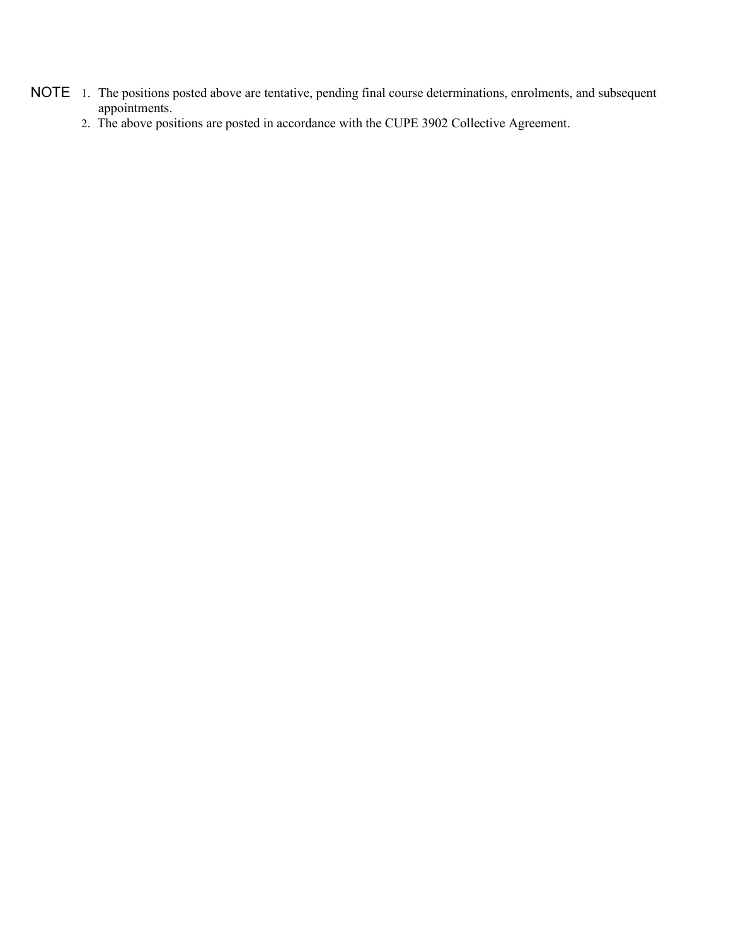- NOTE 1. The positions posted above are tentative, pending final course determinations, enrolments, and subsequent appointments.
	- 2. The above positions are posted in accordance with the CUPE 3902 Collective Agreement.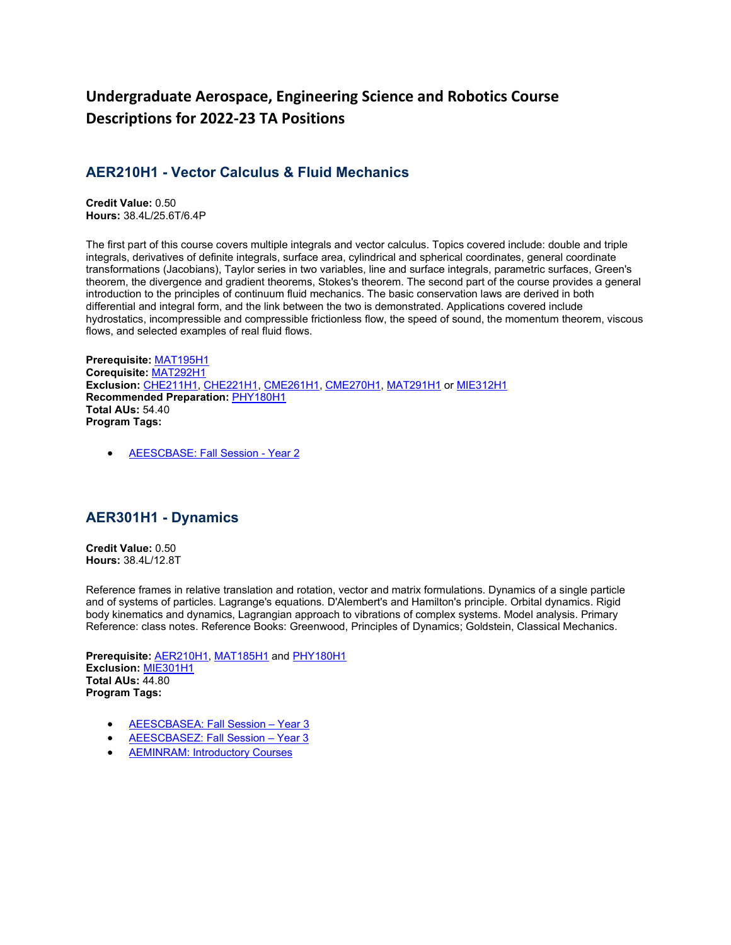# **Undergraduate Aerospace, Engineering Science and Robotics Course Descriptions for 2022-23 TA Positions**

### **AER210H1 - Vector Calculus & Fluid Mechanics**

**Credit Value:** 0.50 **Hours:** 38.4L/25.6T/6.4P

The first part of this course covers multiple integrals and vector calculus. Topics covered include: double and triple integrals, derivatives of definite integrals, surface area, cylindrical and spherical coordinates, general coordinate transformations (Jacobians), Taylor series in two variables, line and surface integrals, parametric surfaces, Green's theorem, the divergence and gradient theorems, Stokes's theorem. The second part of the course provides a general introduction to the principles of continuum fluid mechanics. The basic conservation laws are derived in both differential and integral form, and the link between the two is demonstrated. Applications covered include hydrostatics, incompressible and compressible frictionless flow, the speed of sound, the momentum theorem, viscous flows, and selected examples of real fluid flows.

**Prerequisite:** [MAT195H1](https://engineering.calendar.utoronto.ca/course/MAT195H1) **Corequisite:** [MAT292H1](https://engineering.calendar.utoronto.ca/course/MAT292H1) **Exclusion:** [CHE211H1,](https://engineering.calendar.utoronto.ca/course/CHE211H1) [CHE221H1,](https://engineering.calendar.utoronto.ca/course/CHE221H1) [CME261H1,](https://engineering.calendar.utoronto.ca/course/CME261H1) [CME270H1,](https://engineering.calendar.utoronto.ca/course/CME270H1) [MAT291H1](https://engineering.calendar.utoronto.ca/course/MAT291H1) or [MIE312H1](https://engineering.calendar.utoronto.ca/course/MIE312H1) **Recommended Preparation:** [PHY180H1](https://engineering.calendar.utoronto.ca/course/PHY180H1) **Total AUs:** 54.40 **Program Tags:**

• [AEESCBASE: Fall Session -](https://engineering.calendar.utoronto.ca/undergraduate-program-engineering-science-aeescbase) Year 2

#### **AER301H1 - Dynamics**

**Credit Value:** 0.50 **Hours:** 38.4L/12.8T

Reference frames in relative translation and rotation, vector and matrix formulations. Dynamics of a single particle and of systems of particles. Lagrange's equations. D'Alembert's and Hamilton's principle. Orbital dynamics. Rigid body kinematics and dynamics, Lagrangian approach to vibrations of complex systems. Model analysis. Primary Reference: class notes. Reference Books: Greenwood, Principles of Dynamics; Goldstein, Classical Mechanics.

**Prerequisite:** [AER210H1,](https://engineering.calendar.utoronto.ca/course/AER210H1) [MAT185H1](https://engineering.calendar.utoronto.ca/course/MAT185H1) and [PHY180H1](https://engineering.calendar.utoronto.ca/course/PHY180H1) **Exclusion:** [MIE301H1](https://engineering.calendar.utoronto.ca/course/MIE301H1) **Total AUs:** 44.80 **Program Tags:**

- [AEESCBASEA: Fall Session –](https://engineering.calendar.utoronto.ca/aerospace-engineering-aeescbasea) Year 3
- [AEESCBASEZ: Fall Session –](https://engineering.calendar.utoronto.ca/robotics-engineering-aeescbasez) Year 3
- **[AEMINRAM: Introductory Courses](https://engineering.calendar.utoronto.ca/minor-robotics-and-mechatronics-aeminram)**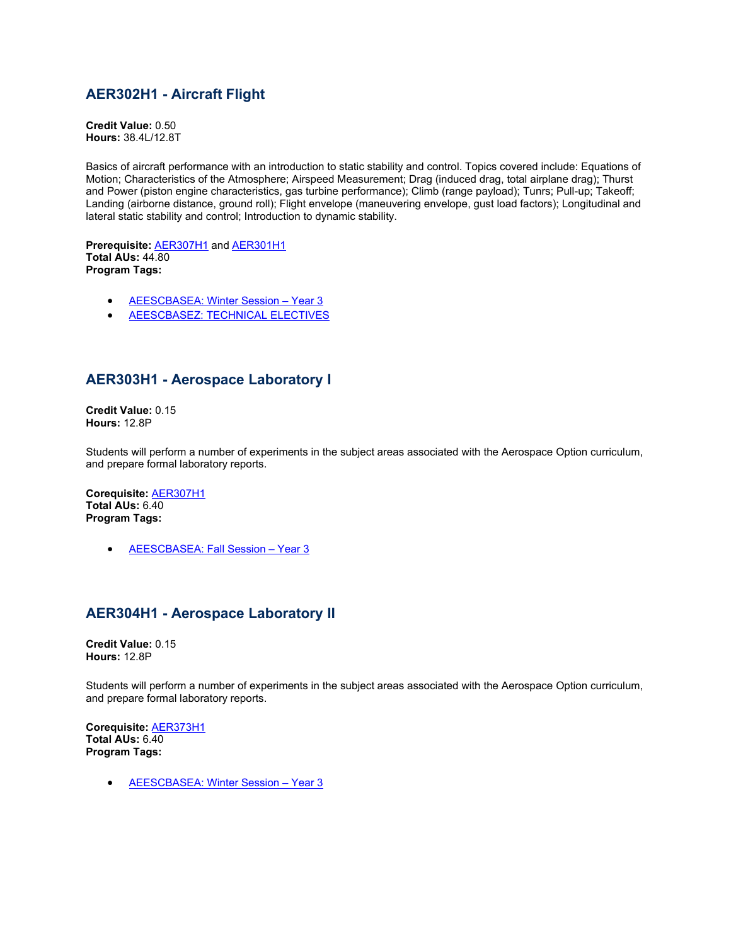## **AER302H1 - Aircraft Flight**

**Credit Value:** 0.50 **Hours:** 38.4L/12.8T

Basics of aircraft performance with an introduction to static stability and control. Topics covered include: Equations of Motion; Characteristics of the Atmosphere; Airspeed Measurement; Drag (induced drag, total airplane drag); Thurst and Power (piston engine characteristics, gas turbine performance); Climb (range payload); Tunrs; Pull-up; Takeoff; Landing (airborne distance, ground roll); Flight envelope (maneuvering envelope, gust load factors); Longitudinal and lateral static stability and control; Introduction to dynamic stability.

**Prerequisite:** [AER307H1](https://engineering.calendar.utoronto.ca/course/AER307H1) and [AER301H1](https://engineering.calendar.utoronto.ca/course/AER301H1) **Total AUs:** 44.80 **Program Tags:**

- **AEESCBASEA: Winter Session Year 3**
- [AEESCBASEZ: TECHNICAL ELECTIVES](https://engineering.calendar.utoronto.ca/robotics-engineering-aeescbasez)

### **AER303H1 - Aerospace Laboratory I**

**Credit Value:** 0.15 **Hours:** 12.8P

Students will perform a number of experiments in the subject areas associated with the Aerospace Option curriculum, and prepare formal laboratory reports.

**Corequisite:** [AER307H1](https://engineering.calendar.utoronto.ca/course/AER307H1) **Total AUs:** 6.40 **Program Tags:**

• [AEESCBASEA: Fall Session –](https://engineering.calendar.utoronto.ca/aerospace-engineering-aeescbasea) Year 3

### **AER304H1 - Aerospace Laboratory II**

**Credit Value:** 0.15 **Hours:** 12.8P

Students will perform a number of experiments in the subject areas associated with the Aerospace Option curriculum, and prepare formal laboratory reports.

**Corequisite:** [AER373H1](https://engineering.calendar.utoronto.ca/course/AER373H1) **Total AUs:** 6.40 **Program Tags:**

• [AEESCBASEA: Winter Session –](https://engineering.calendar.utoronto.ca/aerospace-engineering-aeescbasea) Year 3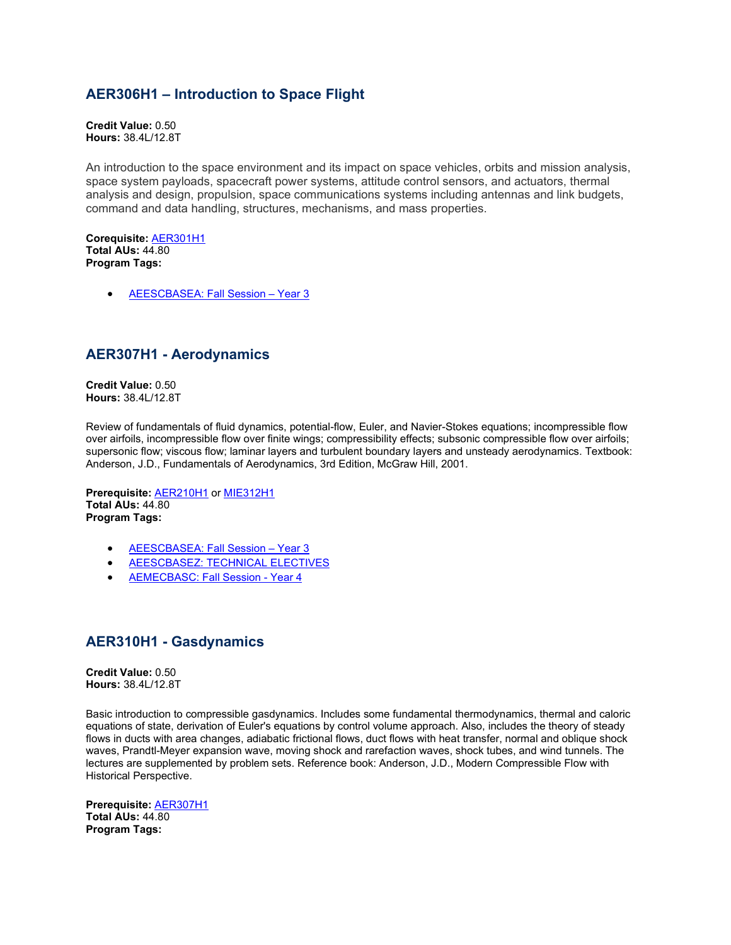### **AER306H1 – Introduction to Space Flight**

**Credit Value:** 0.50 **Hours:** 38.4L/12.8T

An introduction to the space environment and its impact on space vehicles, orbits and mission analysis, space system payloads, spacecraft power systems, attitude control sensors, and actuators, thermal analysis and design, propulsion, space communications systems including antennas and link budgets, command and data handling, structures, mechanisms, and mass properties.

**Corequisite:** [AER301H1](https://engineering.calendar.utoronto.ca/course/AER210H1) **Total AUs:** 44.80 **Program Tags:**

• [AEESCBASEA: Fall Session –](https://engineering.calendar.utoronto.ca/aerospace-engineering-aeescbasea) Year 3

### **AER307H1 - Aerodynamics**

**Credit Value:** 0.50 **Hours:** 38.4L/12.8T

Review of fundamentals of fluid dynamics, potential-flow, Euler, and Navier-Stokes equations; incompressible flow over airfoils, incompressible flow over finite wings; compressibility effects; subsonic compressible flow over airfoils; supersonic flow; viscous flow; laminar layers and turbulent boundary layers and unsteady aerodynamics. Textbook: Anderson, J.D., Fundamentals of Aerodynamics, 3rd Edition, McGraw Hill, 2001.

**Prerequisite:** [AER210H1](https://engineering.calendar.utoronto.ca/course/AER210H1) or [MIE312H1](https://engineering.calendar.utoronto.ca/course/MIE312H1) **Total AUs:** 44.80 **Program Tags:**

- [AEESCBASEA: Fall Session –](https://engineering.calendar.utoronto.ca/aerospace-engineering-aeescbasea) Year 3
- [AEESCBASEZ: TECHNICAL ELECTIVES](https://engineering.calendar.utoronto.ca/robotics-engineering-aeescbasez)
- [AEMECBASC: Fall Session -](https://engineering.calendar.utoronto.ca/mechanical-engineering-aemecbasc) Year 4

#### **AER310H1 - Gasdynamics**

**Credit Value:** 0.50 **Hours:** 38.4L/12.8T

Basic introduction to compressible gasdynamics. Includes some fundamental thermodynamics, thermal and caloric equations of state, derivation of Euler's equations by control volume approach. Also, includes the theory of steady flows in ducts with area changes, adiabatic frictional flows, duct flows with heat transfer, normal and oblique shock waves, Prandtl-Meyer expansion wave, moving shock and rarefaction waves, shock tubes, and wind tunnels. The lectures are supplemented by problem sets. Reference book: Anderson, J.D., Modern Compressible Flow with Historical Perspective.

**Prerequisite:** [AER307H1](https://engineering.calendar.utoronto.ca/course/AER307H1) **Total AUs:** 44.80 **Program Tags:**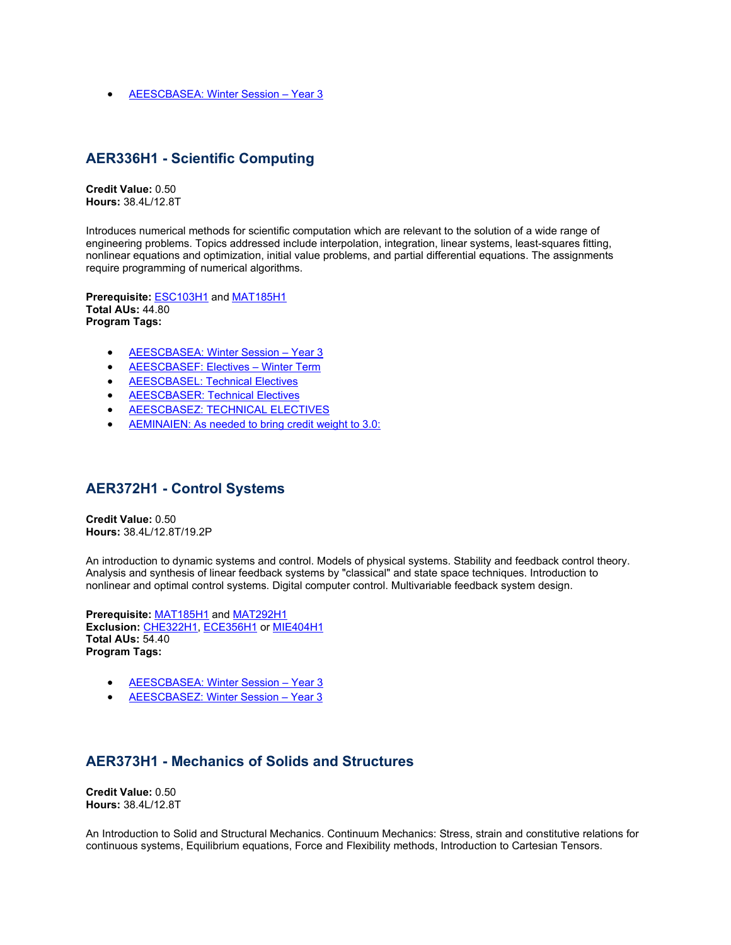• [AEESCBASEA: Winter Session –](https://engineering.calendar.utoronto.ca/aerospace-engineering-aeescbasea) Year 3

#### **AER336H1 - Scientific Computing**

**Credit Value:** 0.50 **Hours:** 38.4L/12.8T

Introduces numerical methods for scientific computation which are relevant to the solution of a wide range of engineering problems. Topics addressed include interpolation, integration, linear systems, least-squares fitting, nonlinear equations and optimization, initial value problems, and partial differential equations. The assignments require programming of numerical algorithms.

**Prerequisite:** [ESC103H1](https://engineering.calendar.utoronto.ca/course/ESC103H1) and [MAT185H1](https://engineering.calendar.utoronto.ca/course/MAT185H1) **Total AUs:** 44.80 **Program Tags:**

- [AEESCBASEA: Winter Session –](https://engineering.calendar.utoronto.ca/aerospace-engineering-aeescbasea) Year 3
- [AEESCBASEF: Electives –](https://engineering.calendar.utoronto.ca/engineering-mathematics-statistics-finance-aeescbasef) Winter Term
- [AEESCBASEL: Technical Electives](https://engineering.calendar.utoronto.ca/machine-intelligence-aeescbasel)
- [AEESCBASER: Technical Electives](https://engineering.calendar.utoronto.ca/electrical-and-computer-engineering-aeescbaser)
- **[AEESCBASEZ: TECHNICAL ELECTIVES](https://engineering.calendar.utoronto.ca/robotics-engineering-aeescbasez)**
- [AEMINAIEN: As needed to bring credit weight to 3.0:](https://engineering.calendar.utoronto.ca/minor-artificial-intelligence-engineering-aeminaien)

#### **AER372H1 - Control Systems**

**Credit Value:** 0.50 **Hours:** 38.4L/12.8T/19.2P

An introduction to dynamic systems and control. Models of physical systems. Stability and feedback control theory. Analysis and synthesis of linear feedback systems by "classical" and state space techniques. Introduction to nonlinear and optimal control systems. Digital computer control. Multivariable feedback system design.

**Prerequisite:** [MAT185H1](https://engineering.calendar.utoronto.ca/course/MAT185H1) and [MAT292H1](https://engineering.calendar.utoronto.ca/course/MAT292H1) **Exclusion:** [CHE322H1,](https://engineering.calendar.utoronto.ca/course/CHE322H1) [ECE356H1](https://engineering.calendar.utoronto.ca/course/ECE356H1) or [MIE404H1](https://engineering.calendar.utoronto.ca/course/MIE404H1) **Total AUs:** 54.40 **Program Tags:**

- [AEESCBASEA: Winter Session –](https://engineering.calendar.utoronto.ca/aerospace-engineering-aeescbasea) Year 3
- [AEESCBASEZ: Winter Session –](https://engineering.calendar.utoronto.ca/robotics-engineering-aeescbasez) Year 3

#### **AER373H1 - Mechanics of Solids and Structures**

**Credit Value:** 0.50 **Hours:** 38.4L/12.8T

An Introduction to Solid and Structural Mechanics. Continuum Mechanics: Stress, strain and constitutive relations for continuous systems, Equilibrium equations, Force and Flexibility methods, Introduction to Cartesian Tensors.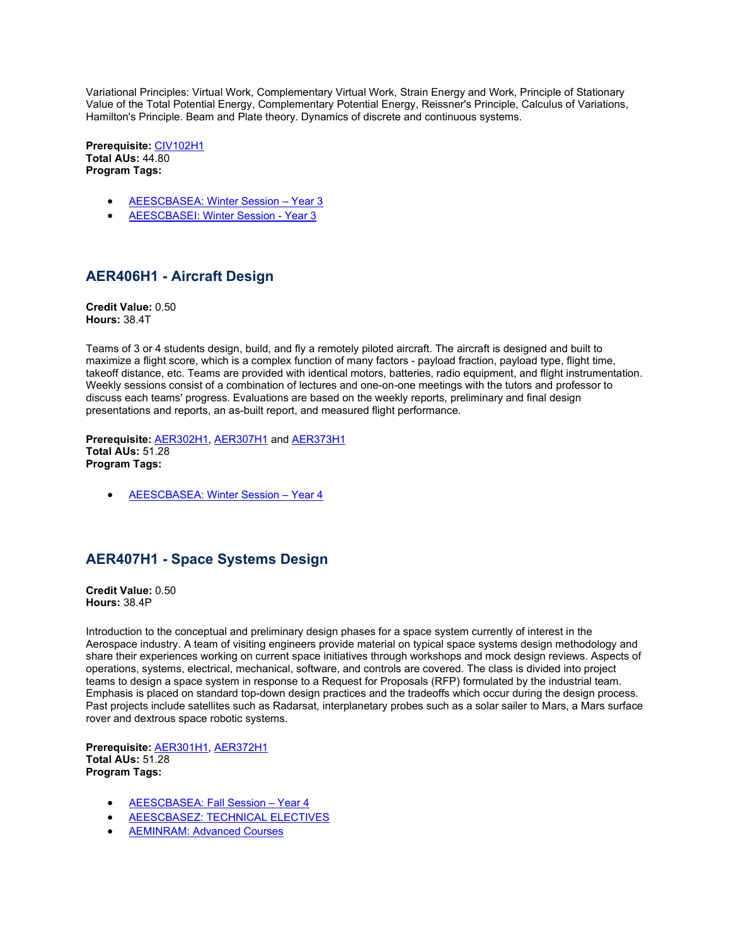Variational Principles: Virtual Work, Complementary Virtual Work, Strain Energy and Work, Principle of Stationary Value of the Total Potential Energy, Complementary Potential Energy, Reissner's Principle, Calculus of Variations, Hamilton's Principle. Beam and Plate theory. Dynamics of discrete and continuous systems.

**Prerequisite:** [CIV102H1](https://engineering.calendar.utoronto.ca/course/CIV102H1) **Total AUs:** 44.80 **Program Tags:**

- [AEESCBASEA: Winter Session –](https://engineering.calendar.utoronto.ca/aerospace-engineering-aeescbasea) Year 3
- [AEESCBASEI: Winter Session -](https://engineering.calendar.utoronto.ca/infrastructure-engineering-aeescbasei) Year 3

## **AER406H1 - Aircraft Design**

**Credit Value:** 0.50 **Hours:** 38.4T

Teams of 3 or 4 students design, build, and fly a remotely piloted aircraft. The aircraft is designed and built to maximize a flight score, which is a complex function of many factors - payload fraction, payload type, flight time, takeoff distance, etc. Teams are provided with identical motors, batteries, radio equipment, and flight instrumentation. Weekly sessions consist of a combination of lectures and one-on-one meetings with the tutors and professor to discuss each teams' progress. Evaluations are based on the weekly reports, preliminary and final design presentations and reports, an as-built report, and measured flight performance.

**Prerequisite:** [AER302H1,](https://engineering.calendar.utoronto.ca/course/AER302H1) [AER307H1](https://engineering.calendar.utoronto.ca/course/AER307H1) and [AER373H1](https://engineering.calendar.utoronto.ca/course/AER373H1) **Total AUs:** 51.28 **Program Tags:**

• [AEESCBASEA: Winter Session –](https://engineering.calendar.utoronto.ca/aerospace-engineering-aeescbasea) Year 4

## **AER407H1 - Space Systems Design**

**Credit Value:** 0.50 **Hours:** 38.4P

Introduction to the conceptual and preliminary design phases for a space system currently of interest in the Aerospace industry. A team of visiting engineers provide material on typical space systems design methodology and share their experiences working on current space initiatives through workshops and mock design reviews. Aspects of operations, systems, electrical, mechanical, software, and controls are covered. The class is divided into project teams to design a space system in response to a Request for Proposals (RFP) formulated by the industrial team. Emphasis is placed on standard top-down design practices and the tradeoffs which occur during the design process. Past projects include satellites such as Radarsat, interplanetary probes such as a solar sailer to Mars, a Mars surface rover and dextrous space robotic systems.

**Prerequisite:** [AER301H1,](https://engineering.calendar.utoronto.ca/course/AER301H1) [AER372H1](https://engineering.calendar.utoronto.ca/course/AER372H1) **Total AUs:** 51.28 **Program Tags:**

- [AEESCBASEA: Fall Session –](https://engineering.calendar.utoronto.ca/aerospace-engineering-aeescbasea) Year 4
- [AEESCBASEZ: TECHNICAL ELECTIVES](https://engineering.calendar.utoronto.ca/robotics-engineering-aeescbasez)
- [AEMINRAM: Advanced Courses](https://engineering.calendar.utoronto.ca/minor-robotics-and-mechatronics-aeminram)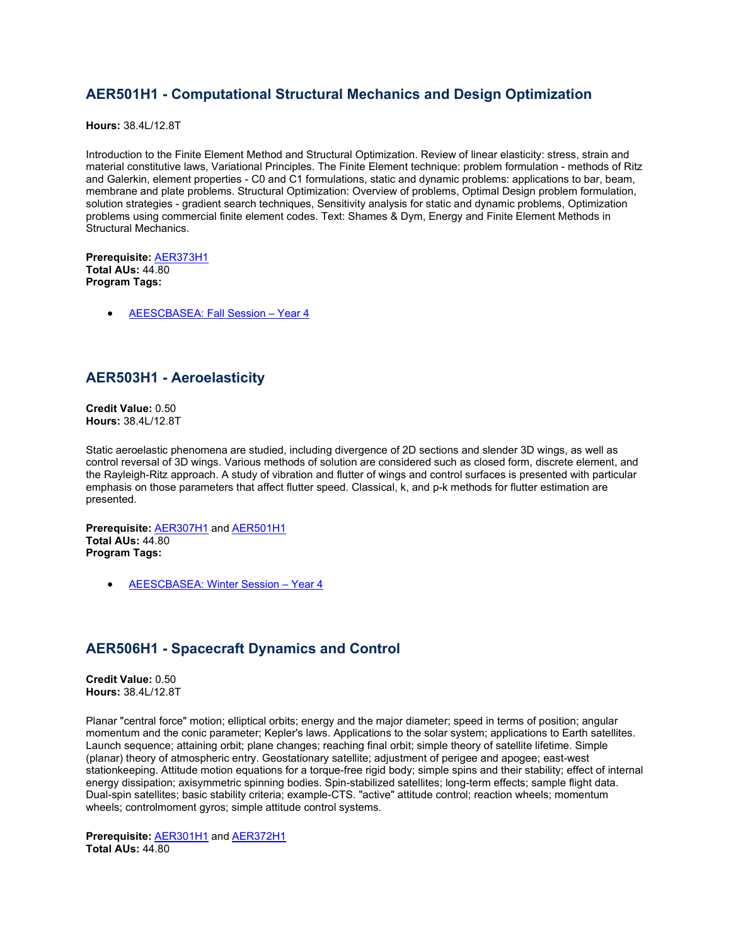### **AER501H1 - Computational Structural Mechanics and Design Optimization**

**Hours:** 38.4L/12.8T

Introduction to the Finite Element Method and Structural Optimization. Review of linear elasticity: stress, strain and material constitutive laws, Variational Principles. The Finite Element technique: problem formulation - methods of Ritz and Galerkin, element properties - C0 and C1 formulations, static and dynamic problems: applications to bar, beam, membrane and plate problems. Structural Optimization: Overview of problems, Optimal Design problem formulation, solution strategies - gradient search techniques, Sensitivity analysis for static and dynamic problems, Optimization problems using commercial finite element codes. Text: Shames & Dym, Energy and Finite Element Methods in Structural Mechanics.

**Prerequisite:** [AER373H1](https://engineering.calendar.utoronto.ca/course/AER373H1) **Total AUs:** 44.80 **Program Tags:**

• **AEESCBASEA: Fall Session - Year 4** 

#### **AER503H1 - Aeroelasticity**

**Credit Value:** 0.50 **Hours:** 38.4L/12.8T

Static aeroelastic phenomena are studied, including divergence of 2D sections and slender 3D wings, as well as control reversal of 3D wings. Various methods of solution are considered such as closed form, discrete element, and the Rayleigh-Ritz approach. A study of vibration and flutter of wings and control surfaces is presented with particular emphasis on those parameters that affect flutter speed. Classical, k, and p-k methods for flutter estimation are presented.

**Prerequisite:** [AER307H1](https://engineering.calendar.utoronto.ca/course/AER307H1) and [AER501H1](https://engineering.calendar.utoronto.ca/course/AER501H1) **Total AUs:** 44.80 **Program Tags:**

• [AEESCBASEA: Winter Session –](https://engineering.calendar.utoronto.ca/aerospace-engineering-aeescbasea) Year 4

### **AER506H1 - Spacecraft Dynamics and Control**

**Credit Value:** 0.50 **Hours:** 38.4L/12.8T

Planar "central force" motion; elliptical orbits; energy and the major diameter; speed in terms of position; angular momentum and the conic parameter; Kepler's laws. Applications to the solar system; applications to Earth satellites. Launch sequence; attaining orbit; plane changes; reaching final orbit; simple theory of satellite lifetime. Simple (planar) theory of atmospheric entry. Geostationary satellite; adjustment of perigee and apogee; east-west stationkeeping. Attitude motion equations for a torque-free rigid body; simple spins and their stability; effect of internal energy dissipation; axisymmetric spinning bodies. Spin-stabilized satellites; long-term effects; sample flight data. Dual-spin satellites; basic stability criteria; example-CTS. "active" attitude control; reaction wheels; momentum wheels; controlmoment gyros; simple attitude control systems.

**Prerequisite:** [AER301H1](https://engineering.calendar.utoronto.ca/course/AER301H1) and [AER372H1](https://engineering.calendar.utoronto.ca/course/AER372H1) **Total AUs:** 44.80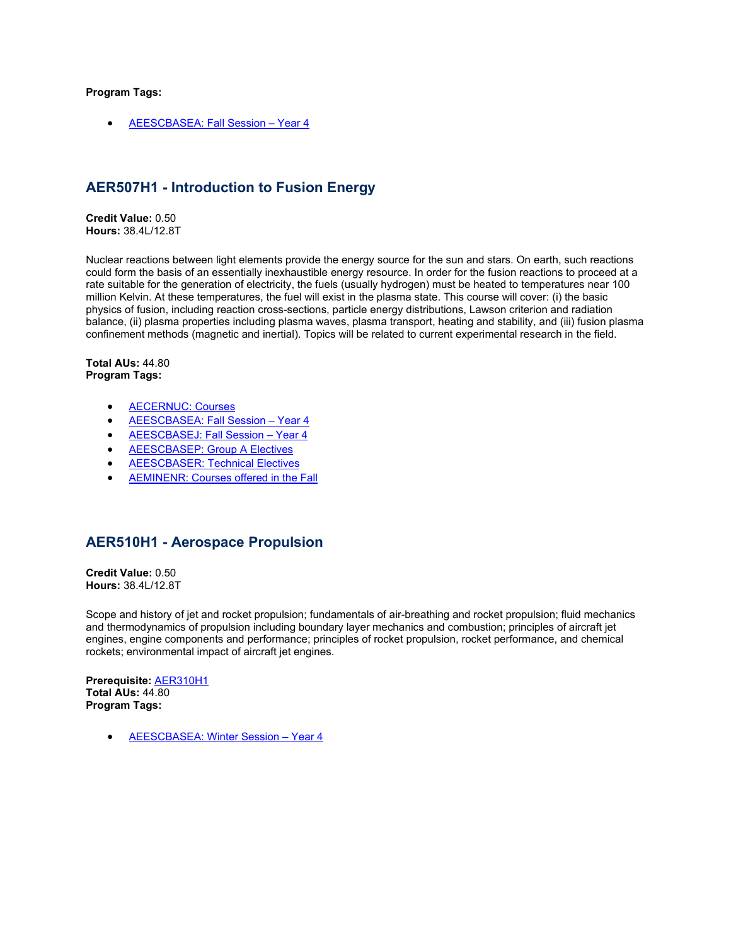#### **Program Tags:**

• [AEESCBASEA: Fall Session –](https://engineering.calendar.utoronto.ca/aerospace-engineering-aeescbasea) Year 4

### **AER507H1 - Introduction to Fusion Energy**

**Credit Value:** 0.50 **Hours:** 38.4L/12.8T

Nuclear reactions between light elements provide the energy source for the sun and stars. On earth, such reactions could form the basis of an essentially inexhaustible energy resource. In order for the fusion reactions to proceed at a rate suitable for the generation of electricity, the fuels (usually hydrogen) must be heated to temperatures near 100 million Kelvin. At these temperatures, the fuel will exist in the plasma state. This course will cover: (i) the basic physics of fusion, including reaction cross-sections, particle energy distributions, Lawson criterion and radiation balance, (ii) plasma properties including plasma waves, plasma transport, heating and stability, and (iii) fusion plasma confinement methods (magnetic and inertial). Topics will be related to current experimental research in the field.

**Total AUs:** 44.80 **Program Tags:**

- [AECERNUC: Courses](https://engineering.calendar.utoronto.ca/certificate-nuclear-engineering-aecernuc)
- **AEESCBASEA: Fall Session Year 4**
- [AEESCBASEJ: Fall Session –](https://engineering.calendar.utoronto.ca/energy-systems-engineering-aeescbasej) Year 4
- [AEESCBASEP: Group A Electives](https://engineering.calendar.utoronto.ca/engineering-physics-aeescbasep)
- [AEESCBASER: Technical Electives](https://engineering.calendar.utoronto.ca/electrical-and-computer-engineering-aeescbaser)
- [AEMINENR: Courses offered in the Fall](https://engineering.calendar.utoronto.ca/minor-sustainable-energy-aeminenr)

### **AER510H1 - Aerospace Propulsion**

**Credit Value:** 0.50 **Hours:** 38.4L/12.8T

Scope and history of jet and rocket propulsion; fundamentals of air-breathing and rocket propulsion; fluid mechanics and thermodynamics of propulsion including boundary layer mechanics and combustion; principles of aircraft jet engines, engine components and performance; principles of rocket propulsion, rocket performance, and chemical rockets; environmental impact of aircraft jet engines.

**Prerequisite:** [AER310H1](https://engineering.calendar.utoronto.ca/course/AER310H1) **Total AUs:** 44.80 **Program Tags:**

• [AEESCBASEA: Winter Session –](https://engineering.calendar.utoronto.ca/aerospace-engineering-aeescbasea) Year 4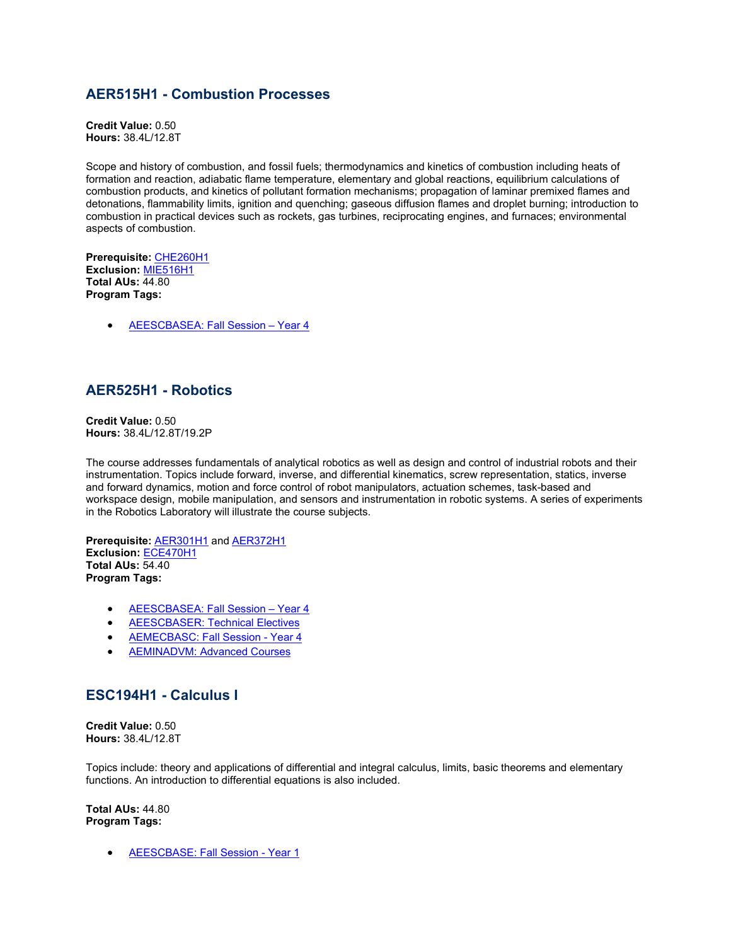### **AER515H1 - Combustion Processes**

**Credit Value:** 0.50 **Hours:** 38.4L/12.8T

Scope and history of combustion, and fossil fuels; thermodynamics and kinetics of combustion including heats of formation and reaction, adiabatic flame temperature, elementary and global reactions, equilibrium calculations of combustion products, and kinetics of pollutant formation mechanisms; propagation of laminar premixed flames and detonations, flammability limits, ignition and quenching; gaseous diffusion flames and droplet burning; introduction to combustion in practical devices such as rockets, gas turbines, reciprocating engines, and furnaces; environmental aspects of combustion.

**Prerequisite:** [CHE260H1](https://engineering.calendar.utoronto.ca/course/CHE260H1) **Exclusion:** [MIE516H1](https://engineering.calendar.utoronto.ca/course/MIE516H1) **Total AUs:** 44.80 **Program Tags:**

• [AEESCBASEA: Fall Session –](https://engineering.calendar.utoronto.ca/aerospace-engineering-aeescbasea) Year 4

#### **AER525H1 - Robotics**

**Credit Value:** 0.50 **Hours:** 38.4L/12.8T/19.2P

The course addresses fundamentals of analytical robotics as well as design and control of industrial robots and their instrumentation. Topics include forward, inverse, and differential kinematics, screw representation, statics, inverse and forward dynamics, motion and force control of robot manipulators, actuation schemes, task-based and workspace design, mobile manipulation, and sensors and instrumentation in robotic systems. A series of experiments in the Robotics Laboratory will illustrate the course subjects.

**Prerequisite:** [AER301H1](https://engineering.calendar.utoronto.ca/course/AER301H1) and [AER372H1](https://engineering.calendar.utoronto.ca/course/AER372H1) **Exclusion:** [ECE470H1](https://engineering.calendar.utoronto.ca/course/ECE470H1) **Total AUs:** 54.40 **Program Tags:**

- [AEESCBASEA: Fall Session –](https://engineering.calendar.utoronto.ca/aerospace-engineering-aeescbasea) Year 4
- [AEESCBASER: Technical Electives](https://engineering.calendar.utoronto.ca/electrical-and-computer-engineering-aeescbaser)
- [AEMECBASC: Fall Session -](https://engineering.calendar.utoronto.ca/mechanical-engineering-aemecbasc) Year 4
- [AEMINADVM: Advanced Courses](https://engineering.calendar.utoronto.ca/minor-advanced-manufacturing-aeminadvm)

#### **ESC194H1 - Calculus I**

**Credit Value:** 0.50 **Hours:** 38.4L/12.8T

Topics include: theory and applications of differential and integral calculus, limits, basic theorems and elementary functions. An introduction to differential equations is also included.

**Total AUs:** 44.80 **Program Tags:**

• [AEESCBASE: Fall Session -](https://engineering.calendar.utoronto.ca/undergraduate-program-engineering-science-aeescbase) Year 1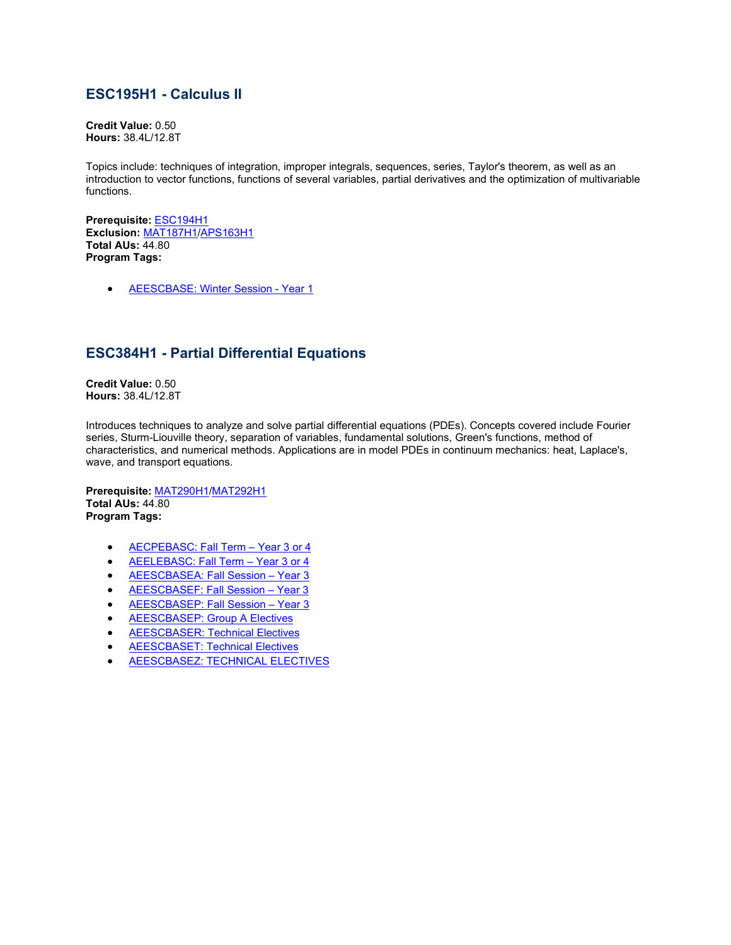### **ESC195H1 - Calculus II**

**Credit Value:** 0.50 **Hours:** 38.4L/12.8T

Topics include: techniques of integration, improper integrals, sequences, series, Taylor's theorem, as well as an introduction to vector functions, functions of several variables, partial derivatives and the optimization of multivariable functions.

**Prerequisite:** [ESC194H1](https://engineering.calendar.utoronto.ca/course/ESC194H1) **Exclusion:** [MAT187H1/](https://engineering.calendar.utoronto.ca/course/MAT187H1)[APS163H1](https://engineering.calendar.utoronto.ca/course/APS163H1) **Total AUs:** 44.80 **Program Tags:**

• **[AEESCBASE: Winter Session -](https://engineering.calendar.utoronto.ca/undergraduate-program-engineering-science-aeescbase) Year 1** 

### **ESC384H1 - Partial Differential Equations**

**Credit Value:** 0.50 **Hours:** 38.4L/12.8T

Introduces techniques to analyze and solve partial differential equations (PDEs). Concepts covered include Fourier series, Sturm-Liouville theory, separation of variables, fundamental solutions, Green's functions, method of characteristics, and numerical methods. Applications are in model PDEs in continuum mechanics: heat, Laplace's, wave, and transport equations.

**Prerequisite:** [MAT290H1](https://engineering.calendar.utoronto.ca/course/MAT290H1)[/MAT292H1](https://engineering.calendar.utoronto.ca/course/MAT292H1) **Total AUs:** 44.80 **Program Tags:**

- AECPEBASC: Fall Term Year 3 or 4
- AEELEBASC: Fall Term Year 3 or 4
- **AEESCBASEA: Fall Session Year 3**
- [AEESCBASEF: Fall Session –](https://engineering.calendar.utoronto.ca/engineering-mathematics-statistics-finance-aeescbasef) Year 3
- **[AEESCBASEP: Fall Session](https://engineering.calendar.utoronto.ca/engineering-physics-aeescbasep) Year 3**
- [AEESCBASEP: Group A Electives](https://engineering.calendar.utoronto.ca/engineering-physics-aeescbasep)
- [AEESCBASER: Technical Electives](https://engineering.calendar.utoronto.ca/electrical-and-computer-engineering-aeescbaser)
- [AEESCBASET: Technical Electives](https://engineering.calendar.utoronto.ca/biomedical-systems-engineering-aeescbaset)
- [AEESCBASEZ: TECHNICAL ELECTIVES](https://engineering.calendar.utoronto.ca/robotics-engineering-aeescbasez)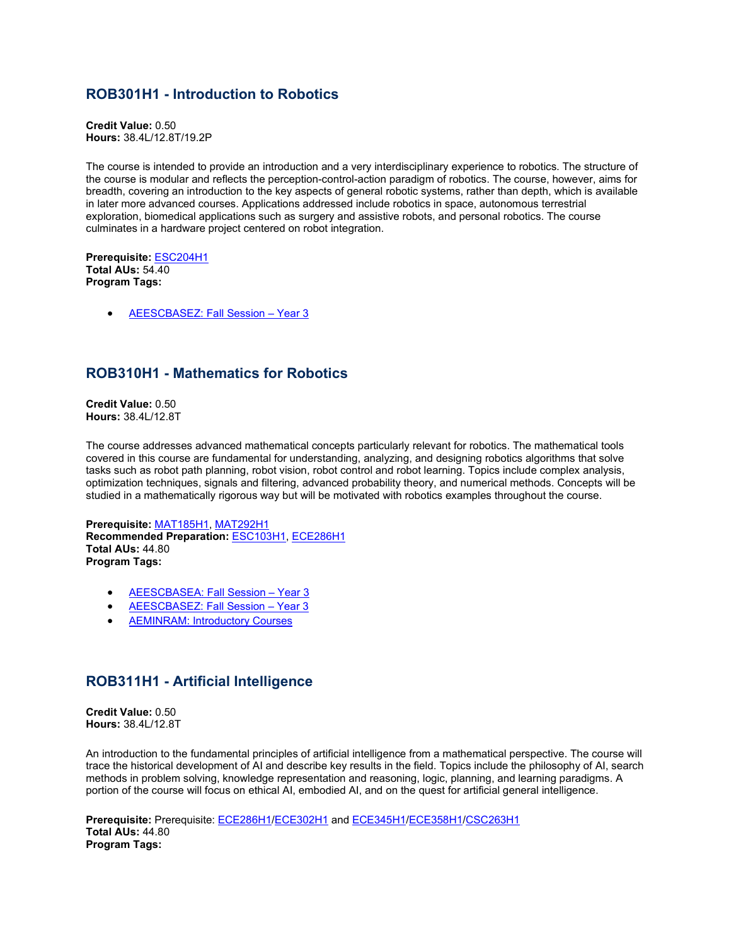### **ROB301H1 - Introduction to Robotics**

**Credit Value:** 0.50 **Hours:** 38.4L/12.8T/19.2P

The course is intended to provide an introduction and a very interdisciplinary experience to robotics. The structure of the course is modular and reflects the perception-control-action paradigm of robotics. The course, however, aims for breadth, covering an introduction to the key aspects of general robotic systems, rather than depth, which is available in later more advanced courses. Applications addressed include robotics in space, autonomous terrestrial exploration, biomedical applications such as surgery and assistive robots, and personal robotics. The course culminates in a hardware project centered on robot integration.

**Prerequisite:** [ESC204H1](https://engineering.calendar.utoronto.ca/course/ESC204H1) **Total AUs:** 54.40 **Program Tags:**

• [AEESCBASEZ: Fall Session –](https://engineering.calendar.utoronto.ca/robotics-engineering-aeescbasez) Year 3

### **ROB310H1 - Mathematics for Robotics**

**Credit Value:** 0.50 **Hours:** 38.4L/12.8T

The course addresses advanced mathematical concepts particularly relevant for robotics. The mathematical tools covered in this course are fundamental for understanding, analyzing, and designing robotics algorithms that solve tasks such as robot path planning, robot vision, robot control and robot learning. Topics include complex analysis, optimization techniques, signals and filtering, advanced probability theory, and numerical methods. Concepts will be studied in a mathematically rigorous way but will be motivated with robotics examples throughout the course.

**Prerequisite:** [MAT185H1,](https://engineering.calendar.utoronto.ca/course/MAT185H1) [MAT292H1](https://engineering.calendar.utoronto.ca/course/MAT292H1) **Recommended Preparation:** [ESC103H1,](https://engineering.calendar.utoronto.ca/course/ESC103H1) [ECE286H1](https://engineering.calendar.utoronto.ca/course/ECE286H1) **Total AUs:** 44.80 **Program Tags:**

- [AEESCBASEA: Fall Session –](https://engineering.calendar.utoronto.ca/aerospace-engineering-aeescbasea) Year 3
- [AEESCBASEZ: Fall Session –](https://engineering.calendar.utoronto.ca/robotics-engineering-aeescbasez) Year 3
- **[AEMINRAM: Introductory Courses](https://engineering.calendar.utoronto.ca/minor-robotics-and-mechatronics-aeminram)**

#### **ROB311H1 - Artificial Intelligence**

**Credit Value:** 0.50 **Hours:** 38.4L/12.8T

An introduction to the fundamental principles of artificial intelligence from a mathematical perspective. The course will trace the historical development of AI and describe key results in the field. Topics include the philosophy of AI, search methods in problem solving, knowledge representation and reasoning, logic, planning, and learning paradigms. A portion of the course will focus on ethical AI, embodied AI, and on the quest for artificial general intelligence.

**Prerequisite:** Prerequisite: [ECE286H1/](https://engineering.calendar.utoronto.ca/course/ECE286H1)[ECE302H1](https://engineering.calendar.utoronto.ca/course/ECE302H1) and [ECE345H1](https://engineering.calendar.utoronto.ca/course/ECE345H1)[/ECE358H1/](https://engineering.calendar.utoronto.ca/course/ECE358H1)[CSC263H1](https://engineering.calendar.utoronto.ca/course/CSC263H1) **Total AUs:** 44.80 **Program Tags:**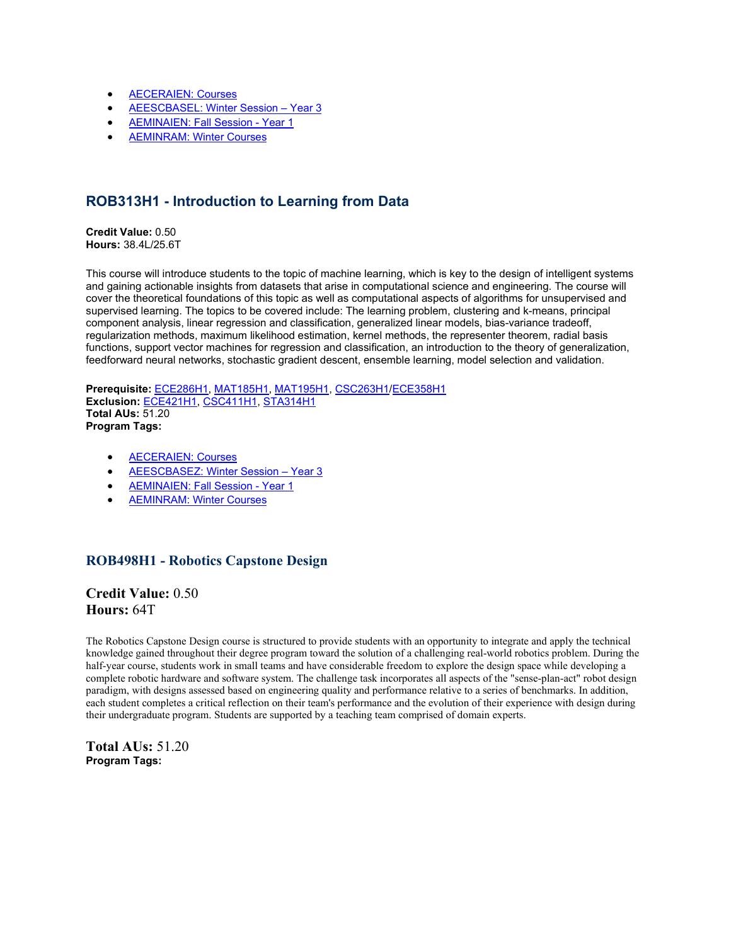- AECERAIEN: Courses
- [AEESCBASEL: Winter](https://engineering.calendar.utoronto.ca/certificate-artificial-intelligence-engineering-aeceraien) [Session](https://engineering.calendar.utoronto.ca/machine-intelligence-aeescbasel) Year 3
- [AEMINAIEN: Fall Session -](https://engineering.calendar.utoronto.ca/minor-artificial-intelligence-engineering-aeminaien) Year 1
- [AEMINRAM: Winter Courses](https://engineering.calendar.utoronto.ca/minor-robotics-and-mechatronics-aeminram)

## **ROB313H1 - Introduction to Learning from Data**

**Credit Value:** 0.50 **Hours:** 38.4L/25.6T

This course will introduce students to the topic of machine learning, which is key to the design of intelligent systems and gaining actionable insights from datasets that arise in computational science and engineering. The course will cover the theoretical foundations of this topic as well as computational aspects of algorithms for unsupervised and supervised learning. The topics to be covered include: The learning problem, clustering and k-means, principal component analysis, linear regression and classification, generalized linear models, bias-variance tradeoff, regularization methods, maximum likelihood estimation, kernel methods, the representer theorem, radial basis functions, support vector machines for regression and classification, an introduction to the theory of generalization, feedforward neural networks, stochastic gradient descent, ensemble learning, model selection and validation.

**Prerequisite:** [ECE286H1,](https://engineering.calendar.utoronto.ca/course/ECE286H1) [MAT185H1,](https://engineering.calendar.utoronto.ca/course/MAT185H1) [MAT195H1,](https://engineering.calendar.utoronto.ca/course/MAT195H1) [CSC263H1](https://engineering.calendar.utoronto.ca/course/CSC263H1)[/ECE358H1](https://engineering.calendar.utoronto.ca/course/ECE358H1) **Exclusion:** [ECE421H1,](https://engineering.calendar.utoronto.ca/course/ECE421H1) [CSC411H1,](https://engineering.calendar.utoronto.ca/course/CSC411H1) [STA314H1](https://engineering.calendar.utoronto.ca/course/STA314H1) **Total AUs:** 51.20 **Program Tags:**

- [AECERAIEN: Courses](https://engineering.calendar.utoronto.ca/certificate-artificial-intelligence-engineering-aeceraien)
- [AEESCBASEZ: Winter Session –](https://engineering.calendar.utoronto.ca/robotics-engineering-aeescbasez) Year 3
- [AEMINAIEN: Fall Session -](https://engineering.calendar.utoronto.ca/minor-artificial-intelligence-engineering-aeminaien) Year 1
- AEMINRAM: [Winter Courses](https://engineering.calendar.utoronto.ca/minor-robotics-and-mechatronics-aeminram)

#### **ROB498H1 - Robotics Capstone Design**

**Credit Value:** 0.50 **Hours:** 64T

The Robotics Capstone Design course is structured to provide students with an opportunity to integrate and apply the technical knowledge gained throughout their degree program toward the solution of a challenging real-world robotics problem. During the half-year course, students work in small teams and have considerable freedom to explore the design space while developing a complete robotic hardware and software system. The challenge task incorporates all aspects of the "sense-plan-act" robot design paradigm, with designs assessed based on engineering quality and performance relative to a series of benchmarks. In addition, each student completes a critical reflection on their team's performance and the evolution of their experience with design during their undergraduate program. Students are supported by a teaching team comprised of domain experts.

**Total AUs:** 51.20 **Program Tags:**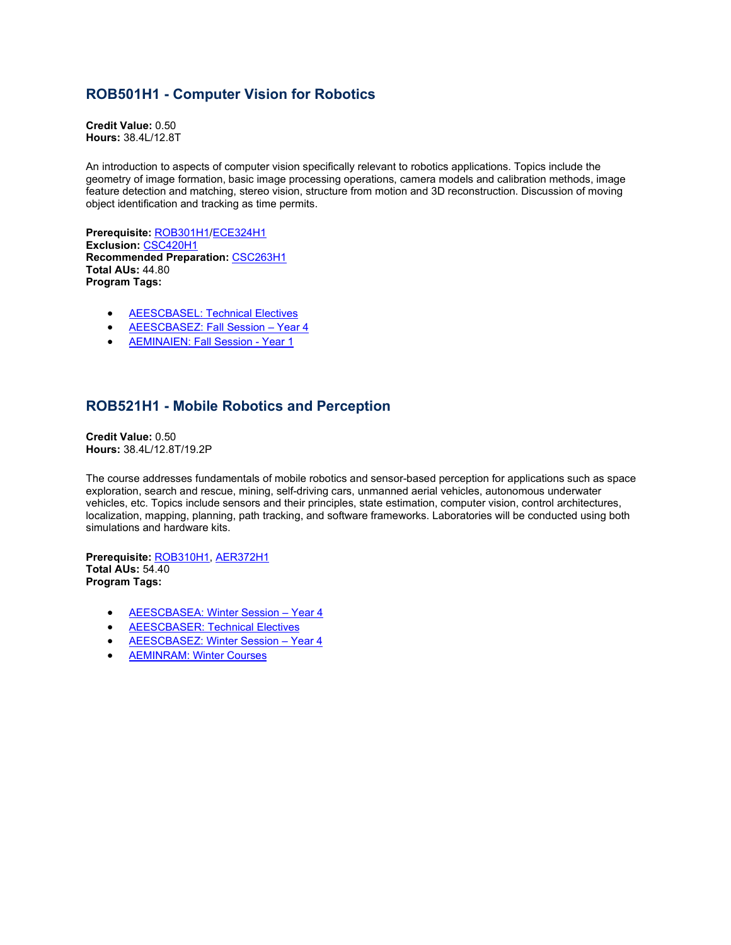## **ROB501H1 - Computer Vision for Robotics**

**Credit Value:** 0.50 **Hours:** 38.4L/12.8T

An introduction to aspects of computer vision specifically relevant to robotics applications. Topics include the geometry of image formation, basic image processing operations, camera models and calibration methods, image feature detection and matching, stereo vision, structure from motion and 3D reconstruction. Discussion of moving object identification and tracking as time permits.

**Prerequisite:** [ROB301H1/](https://engineering.calendar.utoronto.ca/course/ROB301H1)[ECE324H1](https://engineering.calendar.utoronto.ca/course/ECE324H1) **Exclusion:** [CSC420H1](https://engineering.calendar.utoronto.ca/course/CSC420H1) **Recommended Preparation:** [CSC263H1](https://engineering.calendar.utoronto.ca/course/CSC263H1) **Total AUs:** 44.80 **Program Tags:**

- [AEESCBASEL: Technical Electives](https://engineering.calendar.utoronto.ca/machine-intelligence-aeescbasel)
- [AEESCBASEZ: Fall Session –](https://engineering.calendar.utoronto.ca/robotics-engineering-aeescbasez) Year 4
- [AEMINAIEN: Fall Session -](https://engineering.calendar.utoronto.ca/minor-artificial-intelligence-engineering-aeminaien) Year 1

### **ROB521H1 - Mobile Robotics and Perception**

**Credit Value:** 0.50 **Hours:** 38.4L/12.8T/19.2P

The course addresses fundamentals of mobile robotics and sensor-based perception for applications such as space exploration, search and rescue, mining, self-driving cars, unmanned aerial vehicles, autonomous underwater vehicles, etc. Topics include sensors and their principles, state estimation, computer vision, control architectures, localization, mapping, planning, path tracking, and software frameworks. Laboratories will be conducted using both simulations and hardware kits.

**Prerequisite:** [ROB310H1,](https://engineering.calendar.utoronto.ca/course/ROB310H1) [AER372H1](https://engineering.calendar.utoronto.ca/course/AER372H1) **Total AUs:** 54.40 **Program Tags:**

- [AEESCBASEA: Winter Session –](https://engineering.calendar.utoronto.ca/aerospace-engineering-aeescbasea) Year 4
- [AEESCBASER: Technical Electives](https://engineering.calendar.utoronto.ca/electrical-and-computer-engineering-aeescbaser)
- AEESCBASEZ: Winter Session Year 4
- [AEMINRAM: Winter Courses](https://engineering.calendar.utoronto.ca/minor-robotics-and-mechatronics-aeminram)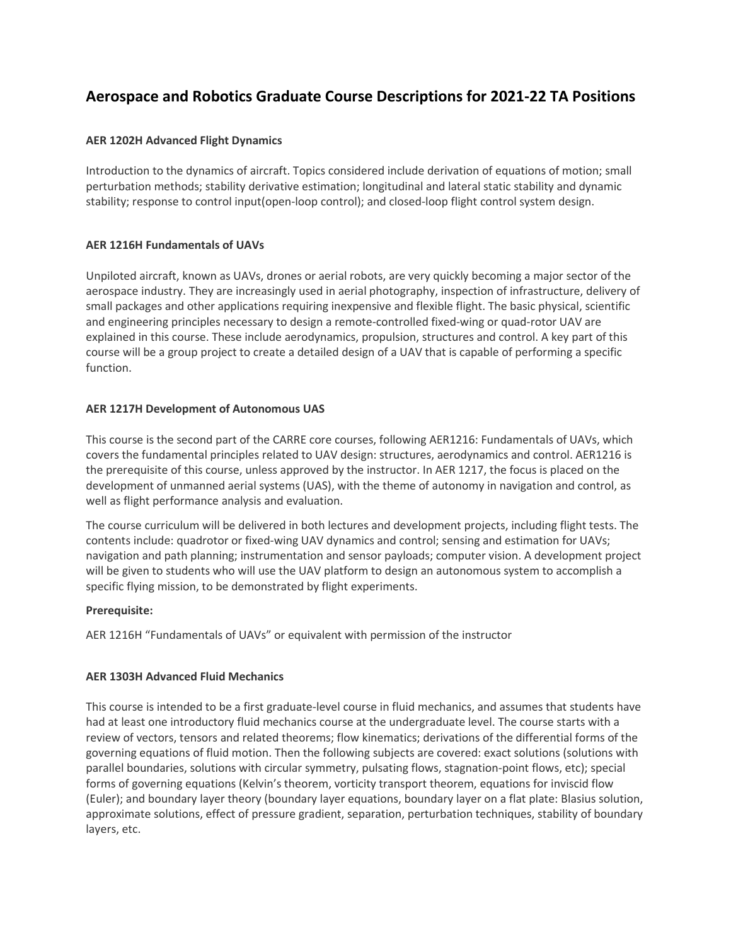## **Aerospace and Robotics Graduate Course Descriptions for 2021-22 TA Positions**

#### **AER 1202H Advanced Flight Dynamics**

Introduction to the dynamics of aircraft. Topics considered include derivation of equations of motion; small perturbation methods; stability derivative estimation; longitudinal and lateral static stability and dynamic stability; response to control input(open-loop control); and closed-loop flight control system design.

#### **AER 1216H Fundamentals of UAVs**

Unpiloted aircraft, known as UAVs, drones or aerial robots, are very quickly becoming a major sector of the aerospace industry. They are increasingly used in aerial photography, inspection of infrastructure, delivery of small packages and other applications requiring inexpensive and flexible flight. The basic physical, scientific and engineering principles necessary to design a remote-controlled fixed-wing or quad-rotor UAV are explained in this course. These include aerodynamics, propulsion, structures and control. A key part of this course will be a group project to create a detailed design of a UAV that is capable of performing a specific function.

#### **AER 1217H Development of Autonomous UAS**

This course is the second part of the CARRE core courses, following AER1216: Fundamentals of UAVs, which covers the fundamental principles related to UAV design: structures, aerodynamics and control. AER1216 is the prerequisite of this course, unless approved by the instructor. In AER 1217, the focus is placed on the development of unmanned aerial systems (UAS), with the theme of autonomy in navigation and control, as well as flight performance analysis and evaluation.

The course curriculum will be delivered in both lectures and development projects, including flight tests. The contents include: quadrotor or fixed-wing UAV dynamics and control; sensing and estimation for UAVs; navigation and path planning; instrumentation and sensor payloads; computer vision. A development project will be given to students who will use the UAV platform to design an autonomous system to accomplish a specific flying mission, to be demonstrated by flight experiments.

#### **Prerequisite:**

AER 1216H "Fundamentals of UAVs" or equivalent with permission of the instructor

#### **AER 1303H Advanced Fluid Mechanics**

This course is intended to be a first graduate-level course in fluid mechanics, and assumes that students have had at least one introductory fluid mechanics course at the undergraduate level. The course starts with a review of vectors, tensors and related theorems; flow kinematics; derivations of the differential forms of the governing equations of fluid motion. Then the following subjects are covered: exact solutions (solutions with parallel boundaries, solutions with circular symmetry, pulsating flows, stagnation-point flows, etc); special forms of governing equations (Kelvin's theorem, vorticity transport theorem, equations for inviscid flow (Euler); and boundary layer theory (boundary layer equations, boundary layer on a flat plate: Blasius solution, approximate solutions, effect of pressure gradient, separation, perturbation techniques, stability of boundary layers, etc.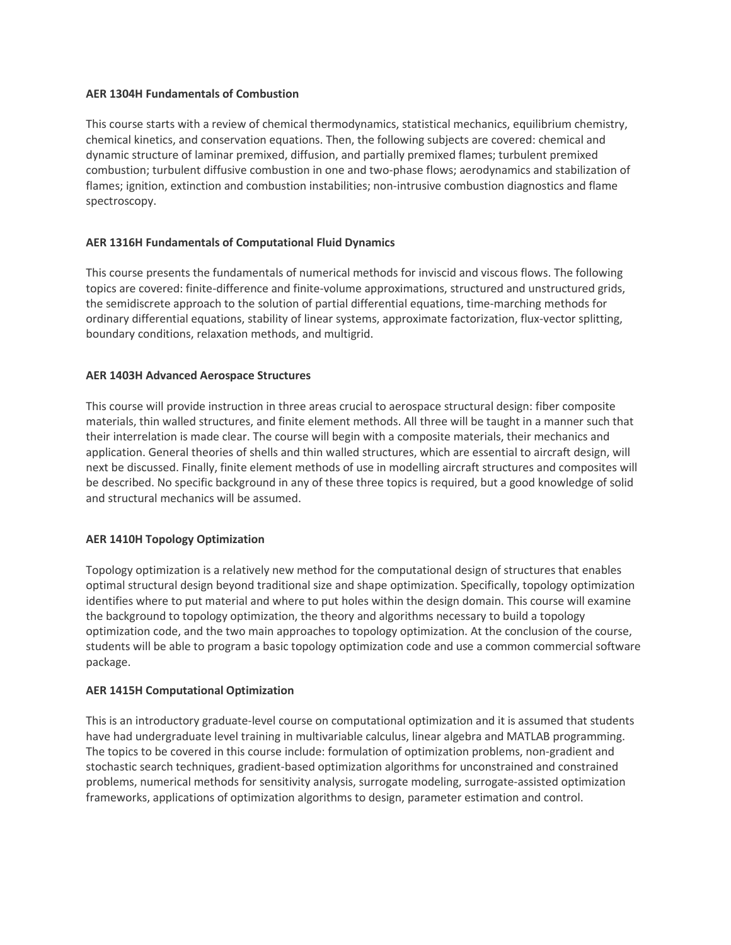#### **AER 1304H Fundamentals of Combustion**

This course starts with a review of chemical thermodynamics, statistical mechanics, equilibrium chemistry, chemical kinetics, and conservation equations. Then, the following subjects are covered: chemical and dynamic structure of laminar premixed, diffusion, and partially premixed flames; turbulent premixed combustion; turbulent diffusive combustion in one and two-phase flows; aerodynamics and stabilization of flames; ignition, extinction and combustion instabilities; non-intrusive combustion diagnostics and flame spectroscopy.

#### **AER 1316H Fundamentals of Computational Fluid Dynamics**

This course presents the fundamentals of numerical methods for inviscid and viscous flows. The following topics are covered: finite-difference and finite-volume approximations, structured and unstructured grids, the semidiscrete approach to the solution of partial differential equations, time-marching methods for ordinary differential equations, stability of linear systems, approximate factorization, flux-vector splitting, boundary conditions, relaxation methods, and multigrid.

#### **AER 1403H Advanced Aerospace Structures**

This course will provide instruction in three areas crucial to aerospace structural design: fiber composite materials, thin walled structures, and finite element methods. All three will be taught in a manner such that their interrelation is made clear. The course will begin with a composite materials, their mechanics and application. General theories of shells and thin walled structures, which are essential to aircraft design, will next be discussed. Finally, finite element methods of use in modelling aircraft structures and composites will be described. No specific background in any of these three topics is required, but a good knowledge of solid and structural mechanics will be assumed.

#### **AER 1410H Topology Optimization**

Topology optimization is a relatively new method for the computational design of structures that enables optimal structural design beyond traditional size and shape optimization. Specifically, topology optimization identifies where to put material and where to put holes within the design domain. This course will examine the background to topology optimization, the theory and algorithms necessary to build a topology optimization code, and the two main approaches to topology optimization. At the conclusion of the course, students will be able to program a basic topology optimization code and use a common commercial software package.

#### **AER 1415H Computational Optimization**

This is an introductory graduate-level course on computational optimization and it is assumed that students have had undergraduate level training in multivariable calculus, linear algebra and MATLAB programming. The topics to be covered in this course include: formulation of optimization problems, non-gradient and stochastic search techniques, gradient-based optimization algorithms for unconstrained and constrained problems, numerical methods for sensitivity analysis, surrogate modeling, surrogate-assisted optimization frameworks, applications of optimization algorithms to design, parameter estimation and control.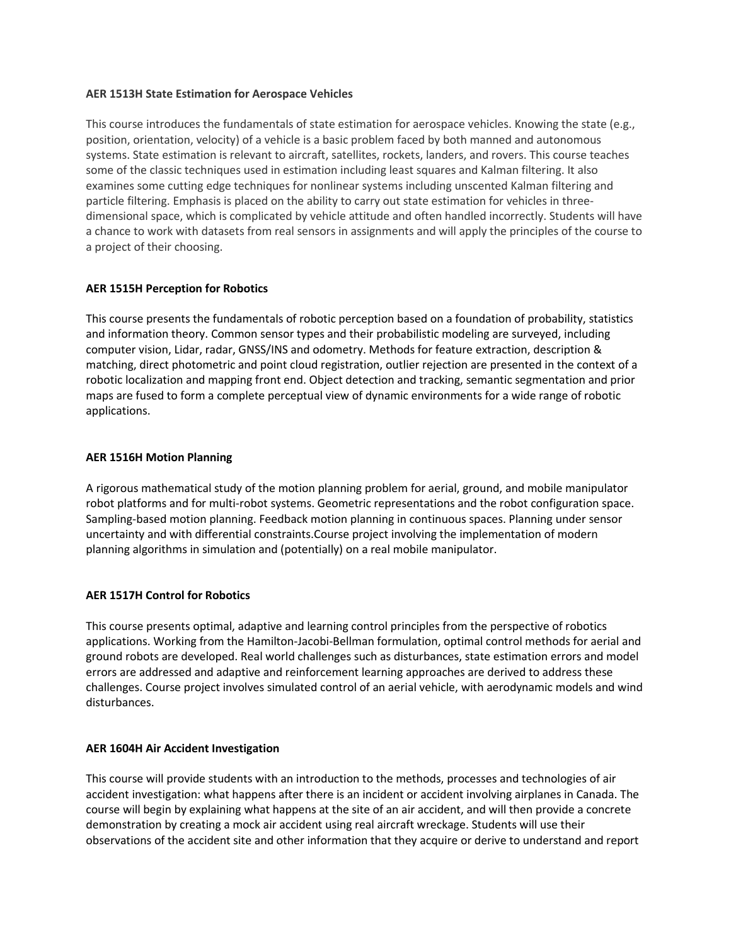#### **AER 1513H State Estimation for Aerospace Vehicles**

This course introduces the fundamentals of state estimation for aerospace vehicles. Knowing the state (e.g., position, orientation, velocity) of a vehicle is a basic problem faced by both manned and autonomous systems. State estimation is relevant to aircraft, satellites, rockets, landers, and rovers. This course teaches some of the classic techniques used in estimation including least squares and Kalman filtering. It also examines some cutting edge techniques for nonlinear systems including unscented Kalman filtering and particle filtering. Emphasis is placed on the ability to carry out state estimation for vehicles in threedimensional space, which is complicated by vehicle attitude and often handled incorrectly. Students will have a chance to work with datasets from real sensors in assignments and will apply the principles of the course to a project of their choosing.

#### **AER 1515H Perception for Robotics**

This course presents the fundamentals of robotic perception based on a foundation of probability, statistics and information theory. Common sensor types and their probabilistic modeling are surveyed, including computer vision, Lidar, radar, GNSS/INS and odometry. Methods for feature extraction, description & matching, direct photometric and point cloud registration, outlier rejection are presented in the context of a robotic localization and mapping front end. Object detection and tracking, semantic segmentation and prior maps are fused to form a complete perceptual view of dynamic environments for a wide range of robotic applications.

#### **AER 1516H Motion Planning**

A rigorous mathematical study of the motion planning problem for aerial, ground, and mobile manipulator robot platforms and for multi-robot systems. Geometric representations and the robot configuration space. Sampling-based motion planning. Feedback motion planning in continuous spaces. Planning under sensor uncertainty and with differential constraints.Course project involving the implementation of modern planning algorithms in simulation and (potentially) on a real mobile manipulator.

#### **AER 1517H Control for Robotics**

This course presents optimal, adaptive and learning control principles from the perspective of robotics applications. Working from the Hamilton-Jacobi-Bellman formulation, optimal control methods for aerial and ground robots are developed. Real world challenges such as disturbances, state estimation errors and model errors are addressed and adaptive and reinforcement learning approaches are derived to address these challenges. Course project involves simulated control of an aerial vehicle, with aerodynamic models and wind disturbances.

#### **AER 1604H Air Accident Investigation**

This course will provide students with an introduction to the methods, processes and technologies of air accident investigation: what happens after there is an incident or accident involving airplanes in Canada. The course will begin by explaining what happens at the site of an air accident, and will then provide a concrete demonstration by creating a mock air accident using real aircraft wreckage. Students will use their observations of the accident site and other information that they acquire or derive to understand and report